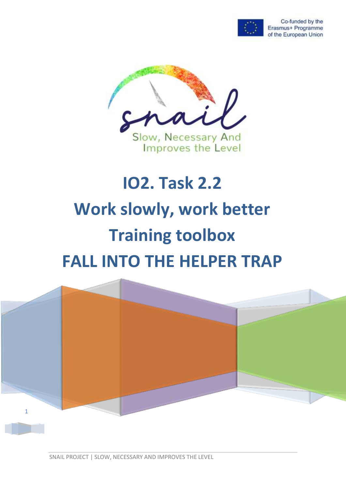

Co-funded by the Erasmus+ Programme of the European Union



# **IO2. Task 2.2 Work slowly, work better Training toolbox FALL INTO THE HELPER TRAP**

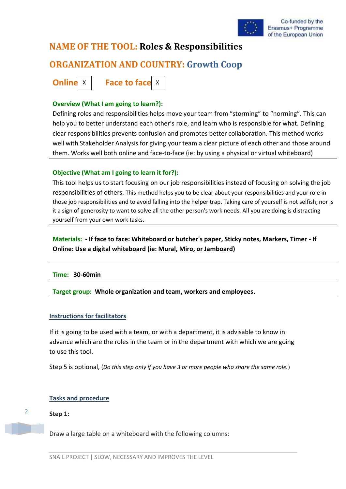

# **NAME OF THE TOOL: Roles & Responsibilities**

# **ORGANIZATION AND COUNTRY: Growth Coop**

**Online**  $x$  | Face to face  $x$ 

# **Overview (What I am going to learn?):**

Defining roles and responsibilities helps move your team from "storming" to "norming". This can help you to better understand each other's role, and learn who is responsible for what. Defining clear responsibilities prevents confusion and promotes better collaboration. This method works well with Stakeholder Analysis for giving your team a clear picture of each other and those around them. Works well both online and face-to-face (ie: by using a physical or virtual whiteboard)

# **Objective (What am I going to learn it for?):**

This tool helps us to start focusing on our job responsibilities instead of focusing on solving the job responsibilities of others. This method helps you to be clear about your responsibilities and your role in those job responsibilities and to avoid falling into the helper trap. Taking care of yourself is not selfish, nor is it a sign of generosity to want to solve all the other person's work needs. All you are doing is distracting yourself from your own work tasks.

**Materials: - If face to face: Whiteboard or butcher's paper, Sticky notes, Markers, Timer - If Online: Use a digital whiteboard (ie: Mural, Miro, or Jamboard)**

# **Time: 30-60min**

**Target group: Whole organization and team, workers and employees.** 

# **Instructions for facilitators**

If it is going to be used with a team, or with a department, it is advisable to know in advance which are the roles in the team or in the department with which we are going to use this tool.

Step 5 is optional, (*Do this step only if you have 3 or more people who share the same role.*)

# **Tasks and procedure**

# **Step 1:**

2

Draw a large table on a whiteboard with the following columns: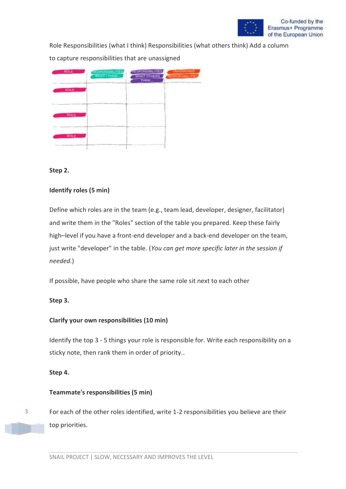

Role Responsibilities (what I think) Responsibilities (what others think) Add a column

to capture responsibilities that are unassigned



#### **Step 2.**

# **Identify roles (5 min)**

Define which roles are in the team (e.g., team lead, developer, designer, facilitator) and write them in the "Roles" section of the table you prepared. Keep these fairly high–level if you have a front-end developer and a back-end developer on the team, just write "developer" in the table. (*You can get more specific later in the session if needed*.)

If possible, have people who share the same role sit next to each other

# **Step 3.**

# **Clarify your own responsibilities (10 min)**

Identify the top 3 - 5 things your role is responsible for. Write each responsibility on a sticky note, then rank them in order of priority..

# **Step 4.**

3

# **Teammate's responsibilities (5 min)**

For each of the other roles identified, write 1-2 responsibilities you believe are their top priorities.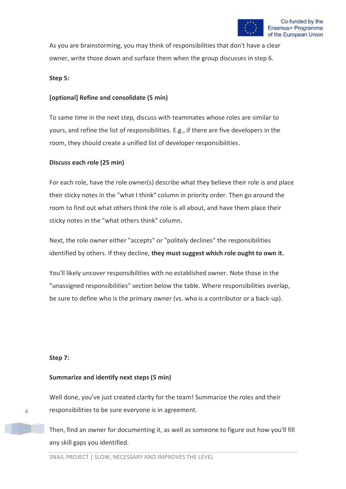As you are brainstorming, you may think of responsibilities that don't have a clear owner, write those down and surface them when the group discusses in step 6.

#### **Step 5:**

# **[optional] Refine and consolidate (5 min)**

To same time in the next step, discuss with teammates whose roles are similar to yours, and refine the list of responsibilities. E.g., if there are five developers in the room, they should create a unified list of developer responsibilities.

#### **Discuss each role (25 min)**

For each role, have the role owner(s) describe what they believe their role is and place their sticky notes in the "what I think" column in priority order. Then go around the room to find out what others think the role is all about, and have them place their sticky notes in the "what others think" column.

Next, the role owner either "accepts" or "politely declines" the responsibilities identified by others. If they decline, **they must suggest which role ought to own it.**

You'll likely uncover responsibilities with no established owner. Note those in the "unassigned responsibilities" section below the table. Where responsibilities overlap, be sure to define who is the primary owner (vs. who is a contributor or a back-up).

#### **Step 7:**

# **Summarize and identify next steps (5 min)**

Well done, you've just created clarity for the team! Summarize the roles and their responsibilities to be sure everyone is in agreement.

Then, find an owner for documenting it, as well as someone to figure out how you'll fill any skill gaps you identified.

4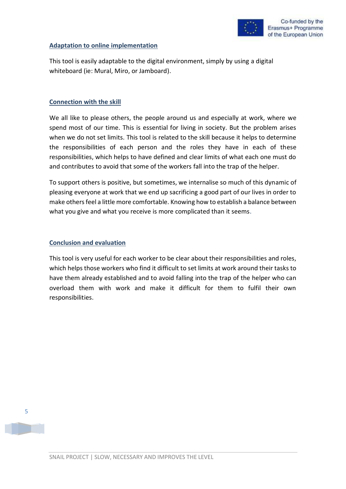

#### **Adaptation to online implementation**

This tool is easily adaptable to the digital environment, simply by using a digital whiteboard (ie: Mural, Miro, or Jamboard).

#### **Connection with the skill**

We all like to please others, the people around us and especially at work, where we spend most of our time. This is essential for living in society. But the problem arises when we do not set limits. This tool is related to the skill because it helps to determine the responsibilities of each person and the roles they have in each of these responsibilities, which helps to have defined and clear limits of what each one must do and contributes to avoid that some of the workers fall into the trap of the helper.

To support others is positive, but sometimes, we internalise so much of this dynamic of pleasing everyone at work that we end up sacrificing a good part of our lives in order to make others feel a little more comfortable. Knowing how to establish a balance between what you give and what you receive is more complicated than it seems.

### **Conclusion and evaluation**

This tool is very useful for each worker to be clear about their responsibilities and roles, which helps those workers who find it difficult to set limits at work around their tasks to have them already established and to avoid falling into the trap of the helper who can overload them with work and make it difficult for them to fulfil their own responsibilities.